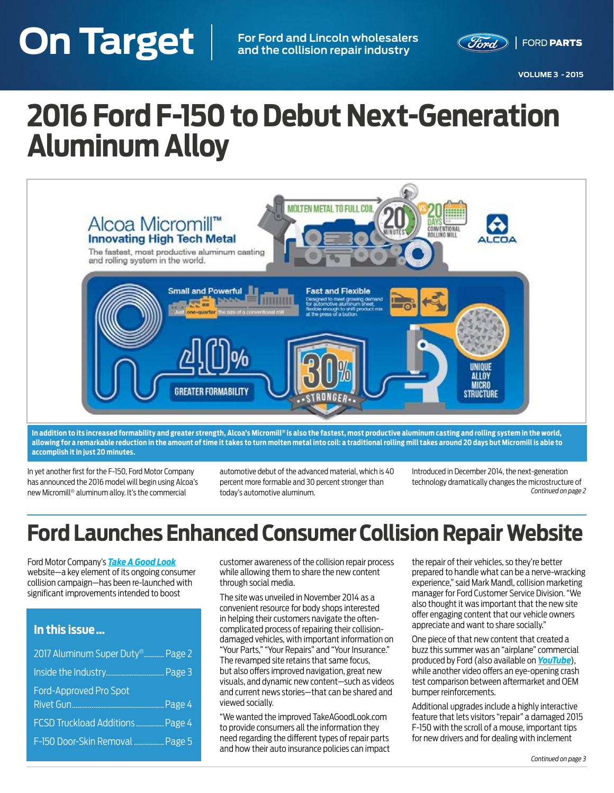# <span id="page-0-0"></span>**On Target VOLUME 3 - 2015 On Target For Ford and Lincoln wholesalers and the collision repair industry**



**VOLUME 3 - 2015**

# **2016 Ford F-150 to Debut Next-Generation Aluminum Alloy**



**In addition to its increased formability and greater strength, Alcoa's Micromill® is also the fastest, most productive aluminum casting and rolling system in the world, allowing for a remarkable reduction in the amount of time it takes to turn molten metal into coil: a traditional rolling mill takes around 20 days but Micromill is able to accomplish it in just 20 minutes.**

In yet another first for the F-150, Ford Motor Company has announced the 2016 model will begin using Alcoa's new Micromill® aluminum alloy. It's the commercial

automotive debut of the advanced material, which is 40 percent more formable and 30 percent stronger than today's automotive aluminum.

Introduced in December 2014, the next-generation technology dramatically changes the microstructure of *[Continued on page 2](#page-1-0)*

# **Ford Launches Enhanced Consumer Collision Repair Website**

Ford Motor Company's *[Take A Good Look](http://www.takeagoodlook.com/)* website—a key element of its ongoing consumer collision campaign—has been re-launched with significant improvements intended to boost

#### **In this issue …**

| 2017 Aluminum Super Duty <sup>®</sup> Page 2 |  |
|----------------------------------------------|--|
|                                              |  |
| <b>Ford-Approved Pro Spot</b>                |  |
|                                              |  |
| FCSD Truckload Additions  Page 4             |  |
| F-150 Door-Skin Removal  Page 5              |  |

customer awareness of the collision repair process while allowing them to share the new content through social media.

The site was unveiled in November 2014 as a convenient resource for body shops interested in helping their customers navigate the oftencomplicated process of repairing their collisiondamaged vehicles, with important information on "Your Parts," "Your Repairs" and "Your Insurance." The revamped site retains that same focus, but also offers improved navigation, great new visuals, and dynamic new content—such as videos and current news stories—that can be shared and viewed socially.

"We wanted the improved TakeAGoodLook.com to provide consumers all the information they need regarding the different types of repair parts and how their auto insurance policies can impact

the repair of their vehicles, so they're better prepared to handle what can be a nerve-wracking experience," said Mark Mandl, collision marketing manager for Ford Customer Service Division. "We also thought it was important that the new site offer engaging content that our vehicle owners appreciate and want to share socially."

One piece of that new content that created a buzz this summer was an "airplane" commercial produced by Ford (also available on *[YouTube](https://www.youtube.com/watch?v=K8OShrPvDs8)*), while another video offers an eye-opening crash test comparison between aftermarket and OEM bumper reinforcements.

Additional upgrades include a highly interactive feature that lets visitors "repair" a damaged 2015 F-150 with the scroll of a mouse, important tips for new drivers and for dealing with inclement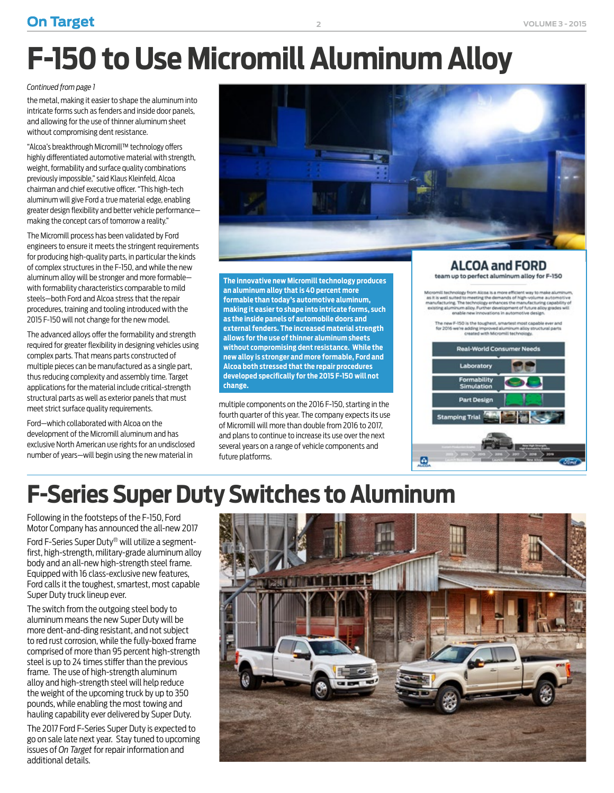### <span id="page-1-0"></span>**On Target 2 VOLUME 3 - 2015**

# **F-150 to Use Micromill Aluminum Alloy**

#### *[Continued from page 1](#page-0-0)*

the metal, making it easier to shape the aluminum into intricate forms such as fenders and inside door panels, and allowing for the use of thinner aluminum sheet without compromising dent resistance.

"Alcoa's breakthrough Micromill™ technology offers highly differentiated automotive material with strength, weight, formability and surface quality combinations previously impossible," said Klaus Kleinfeld, Alcoa chairman and chief executive officer. "This high-tech aluminum will give Ford a true material edge, enabling greater design flexibility and better vehicle performance making the concept cars of tomorrow a reality."

The Micromill process has been validated by Ford engineers to ensure it meets the stringent requirements for producing high-quality parts, in particular the kinds of complex structures in the F-150, and while the new aluminum alloy will be stronger and more formable with formability characteristics comparable to mild steels—both Ford and Alcoa stress that the repair procedures, training and tooling introduced with the 2015 F-150 will not change for the new model.

The advanced alloys offer the formability and strength required for greater flexibility in designing vehicles using complex parts. That means parts constructed of multiple pieces can be manufactured as a single part, thus reducing complexity and assembly time. Target applications for the material include critical-strength structural parts as well as exterior panels that must meet strict surface quality requirements.

Ford—which collaborated with Alcoa on the development of the Micromill aluminum and has exclusive North American use rights for an undisclosed number of years—will begin using the new material in



**The innovative new Micromill technology produces an aluminum alloy that is 40 percent more formable than today's automotive aluminum, making it easier to shape into intricate forms, such as the inside panels of automobile doors and external fenders. The increased material strength allows for the use of thinner aluminum sheets without compromising dent resistance. While the new alloy is stronger and more formable, Ford and Alcoa both stressed that the repair procedures developed specifically for the 2015 F-150 will not change.**

multiple components on the 2016 F-150, starting in the fourth quarter of this year. The company expects its use of Micromill will more than double from 2016 to 2017, and plans to continue to increase its use over the next several years on a range of vehicle components and future platforms.

#### **ALCOA and FORD** team up to perfect aluminum alloy for F-150

Accomili bechnology from Alcoa is a more efficient way to make aluminum,<br>as it is well suited to meeting the demands of high-volume automotive<br>manufacturing. The technology enhances the manufacturing capability of<br>existing enable new innovations in automotive design.

The new F-150 is the toughest, smartest most capable ever and<br>for 2016 we're adding improved aluminum alloy structural parts<br>created with Micromili technology.



# **F-Series Super Duty Switches to Aluminum**

Following in the footsteps of the F-150, Ford Motor Company has announced the all-new 2017

Ford F-Series Super Duty® will utilize a segmentfirst, high-strength, military-grade aluminum alloy body and an all-new high-strength steel frame. Equipped with 16 class-exclusive new features, Ford calls it the toughest, smartest, most capable Super Duty truck lineup ever.

The switch from the outgoing steel body to aluminum means the new Super Duty will be more dent-and-ding resistant, and not subject to red rust corrosion, while the fully-boxed frame comprised of more than 95 percent high-strength steel is up to 24 times stiffer than the previous frame. The use of high-strength aluminum alloy and high-strength steel will help reduce the weight of the upcoming truck by up to 350 pounds, while enabling the most towing and hauling capability ever delivered by Super Duty.

The 2017 Ford F-Series Super Duty is expected to go on sale late next year. Stay tuned to upcoming issues of *On Target* for repair information and additional details.

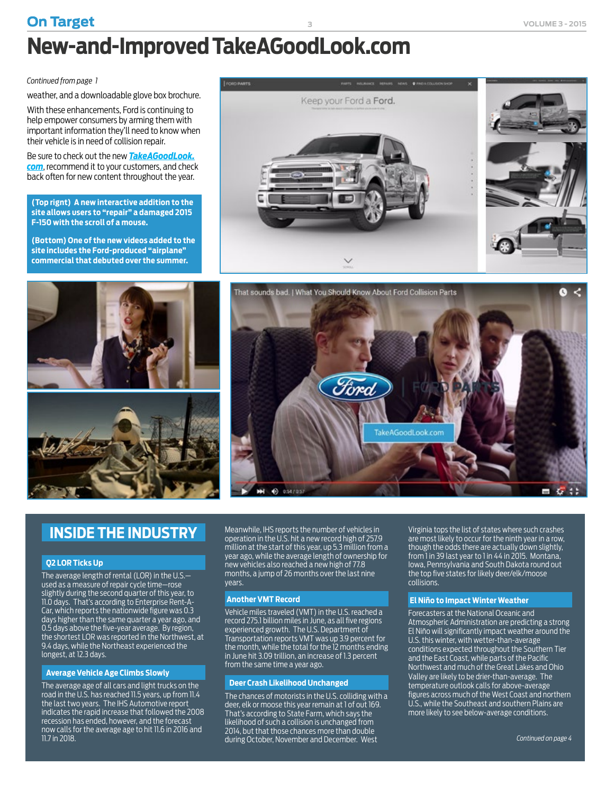## <span id="page-2-0"></span>**On Target 3 VOLUME 3 - 2015 New-and-Improved TakeAGoodLook.com**

*[Continued from page 1](#page-0-0)*

weather, and a downloadable glove box brochure.

With these enhancements, Ford is continuing to help empower consumers by arming them with important information they'll need to know when their vehicle is in need of collision repair.

Be sure to check out the new *[TakeAGoodLook.](http://TakeAGoodLook.com) [com](http://TakeAGoodLook.com)*, recommend it to your customers, and check back often for new content throughout the year.

**(Top rignt) A new interactive addition to the site allows users to "repair" a damaged 2015 F-150 with the scroll of a mouse.**

**(Bottom) One of the new videos added to the site includes the Ford-produced "airplane" commercial that debuted over the summer.**









### **INSIDE THE INDUSTRY**

#### **Q2 LOR Ticks Up**

The average length of rental (LOR) in the U.S. used as a measure of repair cycle time—rose slightly during the second quarter of this year, to 11.0 days. That's according to Enterprise Rent-A-Car, which reports the nationwide figure was 0.3 days higher than the same quarter a year ago, and 0.5 days above the five-year average. By region, the shortest LOR was reported in the Northwest, at 9.4 days, while the Northeast experienced the longest, at 12.3 days.

#### **Average Vehicle Age Climbs Slowly**

The average age of all cars and light trucks on the road in the U.S. has reached 11.5 years, up from 11.4 the last two years. The IHS Automotive report indicates the rapid increase that followed the 2008 recession has ended, however, and the forecast now calls for the average age to hit 11.6 in 2016 and 11.7 in 2018.

Meanwhile, IHS reports the number of vehicles in operation in the U.S. hit a new record high of 257.9 million at the start of this year, up 5.3 million from a year ago, while the average length of ownership for new vehicles also reached a new high of 77.8 months, a jump of 26 months over the last nine years.

#### **Another VMT Record**

Vehicle miles traveled (VMT) in the U.S. reached a record 275.1 billion miles in June, as all five regions experienced growth. The U.S. Department of Transportation reports VMT was up 3.9 percent for the month, while the total for the 12 months ending in June hit 3.09 trillion, an increase of 1.3 percent from the same time a year ago.

#### **Deer Crash Likelihood Unchanged**

The chances of motorists in the U.S. colliding with a deer, elk or moose this year remain at 1 of out 169. That's according to State Farm, which says the likelihood of such a collision is unchanged from 2014, but that those chances more than double during October, November and December. West

Virginia tops the list of states where such crashes are most likely to occur for the ninth year in a row, though the odds there are actually down slightly, from 1 in 39 last year to 1 in 44 in 2015. Montana, Iowa, Pennsylvania and South Dakota round out the top five states for likely deer/elk/moose collisions.

#### **El Niño to Impact Winter Weather**

Forecasters at the National Oceanic and Atmospheric Administration are predicting a strong El Niño will significantly impact weather around the U.S. this winter, with wetter-than-average conditions expected throughout the Southern Tier and the East Coast, while parts of the Pacific Northwest and much of the Great Lakes and Ohio Valley are likely to be drier-than-average. The temperature outlook calls for above-average figures across much of the West Coast and northern U.S., while the Southeast and southern Plains are more likely to see below-average conditions.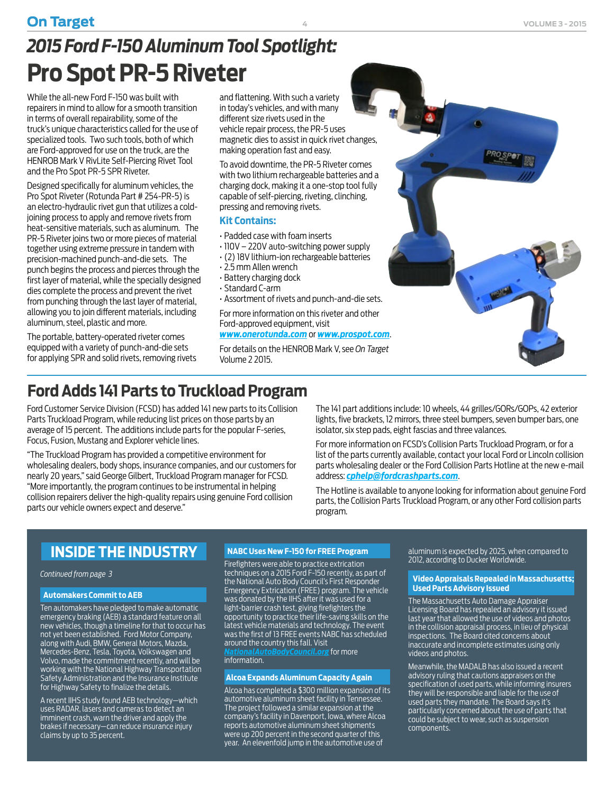### <span id="page-3-0"></span>**On Target VOLUME 3 - 2015**

While the all-new Ford F-150 was built with repairers in mind to allow for a smooth transition in terms of overall repairability, some of the truck's unique characteristics called for the use of specialized tools. Two such tools, both of which are Ford-approved for use on the truck, are the HENROB Mark V RivLite Self-Piercing Rivet Tool and the Pro Spot PR-5 SPR Riveter.

Designed specifically for aluminum vehicles, the Pro Spot Riveter (Rotunda Part # 254-PR-5) is an electro-hydraulic rivet gun that utilizes a coldjoining process to apply and remove rivets from heat-sensitive materials, such as aluminum. The PR-5 Riveter joins two or more pieces of material together using extreme pressure in tandem with precision-machined punch-and-die sets. The punch begins the process and pierces through the first layer of material, while the specially designed dies complete the process and prevent the rivet from punching through the last layer of material, allowing you to join different materials, including aluminum, steel, plastic and more.

The portable, battery-operated riveter comes equipped with a variety of punch-and-die sets for applying SPR and solid rivets, removing rivets and flattening. With such a variety in today's vehicles, and with many different size rivets used in the vehicle repair process, the PR-5 uses magnetic dies to assist in quick rivet changes, making operation fast and easy.

**4**

To avoid downtime, the PR-5 Riveter comes with two lithium rechargeable batteries and a charging dock, making it a one-stop tool fully capable of self-piercing, riveting, clinching, pressing and removing rivets.

#### **Kit Contains:**

- Padded case with foam inserts
- 110V 220V auto-switching power supply
- (2) 18V lithium-ion rechargeable batteries
- 2.5 mm Allen wrench
- Battery charging dock
- Standard C-arm
- Assortment of rivets and punch-and-die sets.

For more information on this riveter and other Ford-approved equipment, visit

#### *[www.onerotunda.com](http://www.onerotunda.com)* or *[www.prospot.com](http://www.prospot.com)*.

For details on the HENROB Mark V, see *On Target* Volume 2 2015.



Ford Customer Service Division (FCSD) has added 141 new parts to its Collision Parts Truckload Program, while reducing list prices on those parts by an average of 15 percent. The additions include parts for the popular F-series, Focus, Fusion, Mustang and Explorer vehicle lines.

"The Truckload Program has provided a competitive environment for wholesaling dealers, body shops, insurance companies, and our customers for nearly 20 years," said George Gilbert, Truckload Program manager for FCSD. "More importantly, the program continues to be instrumental in helping collision repairers deliver the high-quality repairs using genuine Ford collision parts our vehicle owners expect and deserve."

The 141 part additions include: 10 wheels, 44 grilles/GORs/GOPs, 42 exterior lights, five brackets, 12 mirrors, three steel bumpers, seven bumper bars, one isolator, six step pads, eight fascias and three valances.

For more information on FCSD's Collision Parts Truckload Program, or for a list of the parts currently available, contact your local Ford or Lincoln collision parts wholesaling dealer or the Ford Collision Parts Hotline at the new e-mail address: *[cphelp@fordcrashparts.com](mailto:cphelp@fordcrashparts.com)*.

The Hotline is available to anyone looking for information about genuine Ford parts, the Collision Parts Truckload Program, or any other Ford collision parts program.

### **INSIDE THE INDUSTRY**

#### *[Continued from page 3](#page-2-0)*

#### **Automakers Commit to AEB**

Ten automakers have pledged to make automatic emergency braking (AEB) a standard feature on all new vehicles, though a timeline for that to occur has not yet been established. Ford Motor Company, along with Audi, BMW, General Motors, Mazda, Mercedes-Benz, Tesla, Toyota, Volkswagen and Volvo, made the commitment recently, and will be working with the National Highway Transportation Safety Administration and the Insurance Institute for Highway Safety to finalize the details.

A recent IIHS study found AEB technology—which uses RADAR, lasers and cameras to detect an imminent crash, warn the driver and apply the brakes if necessary—can reduce insurance injury claims by up to 35 percent.

#### **NABC Uses New F-150 for FREE Program**

Firefighters were able to practice extrication techniques on a 2015 Ford F-150 recently, as part of the National Auto Body Council's First Responder Emergency Extrication (FREE) program. The vehicle was donated by the IIHS after it was used for a light-barrier crash test, giving firefighters the opportunity to practice their life-saving skills on the latest vehicle materials and technology. The event was the first of 13 FREE events NABC has scheduled around the country this fall. Visit *[NationalAutoBodyCouncil.org](http://www.nationalautobodycouncil.org/programs/recycled-rides/)* for more information.

#### **Alcoa Expands Aluminum Capacity Again**

Alcoa has completed a \$300 million expansion of its automotive aluminum sheet facility in Tennessee. The project followed a similar expansion at the company's facility in Davenport, Iowa, where Alcoa reports automotive aluminum sheet shipments were up 200 percent in the second quarter of this year. An elevenfold jump in the automotive use of

aluminum is expected by 2025, when compared to 2012, according to Ducker Worldwide.

#### **Video Appraisals Repealed in Massachusetts; Used Parts Advisory Issued**

The Massachusetts Auto Damage Appraiser Licensing Board has repealed an advisory it issued last year that allowed the use of videos and photos in the collision appraisal process, in lieu of physical inspections. The Board cited concerns about inaccurate and incomplete estimates using only videos and photos.

Meanwhile, the MADALB has also issued a recent advisory ruling that cautions appraisers on the specification of used parts, while informing insurers they will be responsible and liable for the use of used parts they mandate. The Board says it's particularly concerned about the use of parts that could be subject to wear, such as suspension components.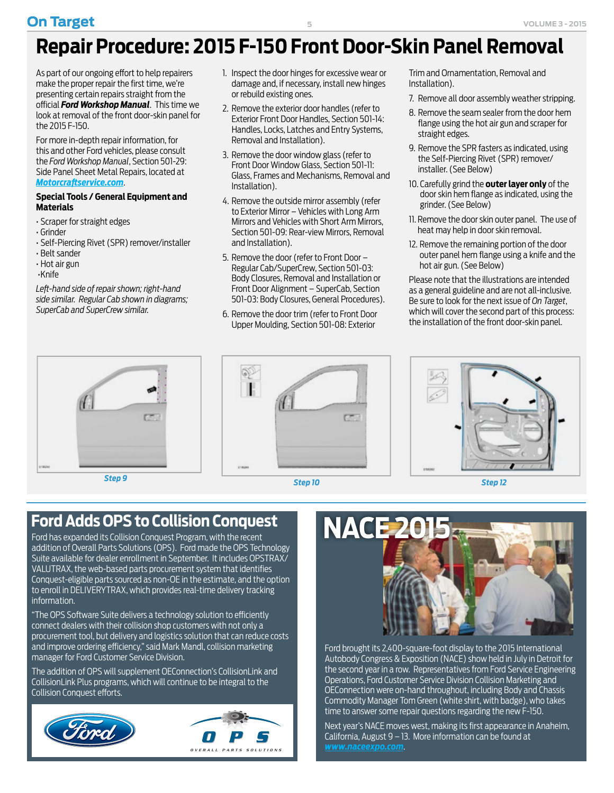# <span id="page-4-0"></span>**Repair Procedure: 2015 F-150 Front Door-Skin Panel Removal**

As part of our ongoing effort to help repairers make the proper repair the first time, we're presenting certain repairs straight from the official *Ford Workshop Manual*. This time we look at removal of the front door-skin panel for the 2015 F-150.

For more in-depth repair information, for this and other Ford vehicles, please consult the *Ford Workshop Manual*, Section 501-29: Side Panel Sheet Metal Repairs, located at *[Motorcraftservice.com](http://MotorCraftService.com)*.

#### **Special Tools / General Equipment and Materials**

- Scraper for straight edges
- Grinder
- Self-Piercing Rivet (SPR) remover/installer
- Belt sander
- Hot air gun
- •Knife

*Left-hand side of repair shown; right-hand side similar. Regular Cab shown in diagrams; SuperCab and SuperCrew similar.*



- 2. Remove the exterior door handles (refer to Exterior Front Door Handles, Section 501-14: Handles, Locks, Latches and Entry Systems, Removal and Installation).
- 3. Remove the door window glass (refer to Front Door Window Glass, Section 501-11: Glass, Frames and Mechanisms, Removal and Installation).
- 4. Remove the outside mirror assembly (refer to Exterior Mirror – Vehicles with Long Arm Mirrors and Vehicles with Short Arm Mirrors, Section 501-09: Rear-view Mirrors, Removal and Installation).
- 5. Remove the door (refer to Front Door Regular Cab/SuperCrew, Section 501-03: Body Closures, Removal and Installation or Front Door Alignment – SuperCab, Section 501-03: Body Closures, General Procedures).
- 6. Remove the door trim (refer to Front Door Upper Moulding, Section 501-08: Exterior

Trim and Ornamentation, Removal and Installation).

- 7. Remove all door assembly weather stripping.
- 8. Remove the seam sealer from the door hem flange using the hot air gun and scraper for straight edges.
- 9. Remove the SPR fasters as indicated, using the Self-Piercing Rivet (SPR) remover/ installer. (See Below)
- 10. Carefully grind the **outer layer only** of the door skin hem flange as indicated, using the grinder. (See Below)
- 11. Remove the door skin outer panel. The use of heat may help in door skin removal.
- 12. Remove the remaining portion of the door outer panel hem flange using a knife and the hot air gun. (See Below)

Please note that the illustrations are intended as a general guideline and are not all-inclusive. Be sure to look for the next issue of *On Target*, which will cover the second part of this process: the installation of the front door-skin panel.







# Ford Adds OPS to Collision Conquest **NACE 2**

Ford has expanded its Collision Conquest Program, with the recent addition of Overall Parts Solutions (OPS). Ford made the OPS Technology Suite available for dealer enrollment in September. It includes OPSTRAX/ VALUTRAX, the web-based parts procurement system that identifies Conquest-eligible parts sourced as non-OE in the estimate, and the option to enroll in DELIVERYTRAX, which provides real-time delivery tracking information.

"The OPS Software Suite delivers a technology solution to efficiently connect dealers with their collision shop customers with not only a procurement tool, but delivery and logistics solution that can reduce costs and improve ordering efficiency," said Mark Mandl, collision marketing manager for Ford Customer Service Division.

The addition of OPS will supplement OEConnection's CollisionLink and CollisionLink Plus programs, which will continue to be integral to the Collision Conquest efforts.





Ford brought its 2,400-square-foot display to the 2015 International Autobody Congress & Exposition (NACE) show held in July in Detroit for the second year in a row. Representatives from Ford Service Engineering Operations, Ford Customer Service Division Collision Marketing and OEConnection were on-hand throughout, including Body and Chassis Commodity Manager Tom Green (white shirt, with badge), who takes time to answer some repair questions regarding the new F-150.

Next year's NACE moves west, making its first appearance in Anaheim, California, August  $9 - 13$ . More information can be found at *[www.naceexpo.com](http://naceexpo.com)*.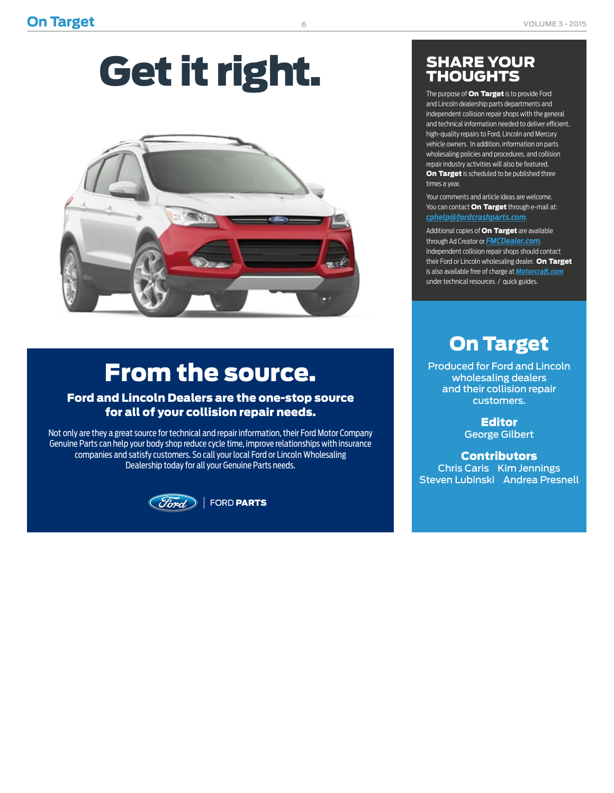# Get it right.



# From the source.

#### Ford and Lincoln Dealers are the one-stop source for all of your collision repair needs.

Not only are they a great source for technical and repair information, their Ford Motor Company Genuine Parts can help your body shop reduce cycle time, improve relationships with insurance companies and satisfy customers. So call your local Ford or Lincoln Wholesaling Dealership today for all your Genuine Parts needs.



FORD PARTS

### SHARE YOUR **THOUGHTS**

The purpose of **On Target** is to provide Ford and Lincoln dealership parts departments and independent collision repair shops with the general and technical information needed to deliver efficient, high-quality repairs to Ford, Lincoln and Mercury vehicle owners. In addition, information on parts wholesaling policies and procedures, and collision repair industry activities will also be featured. On Target is scheduled to be published three times a year.

Your comments and article ideas are welcome. You can contact **On Target** through e-mail at: *[cphelp@fordcrashparts.com](mailto:cphelp%40fordcrashparts.com?subject=)*.

Additional copies of **On Target** are available through Ad Creator or *[FMCDealer.com](https://www.wslx.dealerconnection.com)*. Independent collision repair shops should contact their Ford or Lincoln wholesaling dealer. On Target is also available free of charge at *[Motorcraft.com](http://Motorcraft.com)* under technical resources / quick guides.

## On Target

Produced for Ford and Lincoln wholesaling dealers and their collision repair customers.

> Editor George Gilbert

**Contributors** Chris Caris Kim Jennings Steven Lubinski Andrea Presnell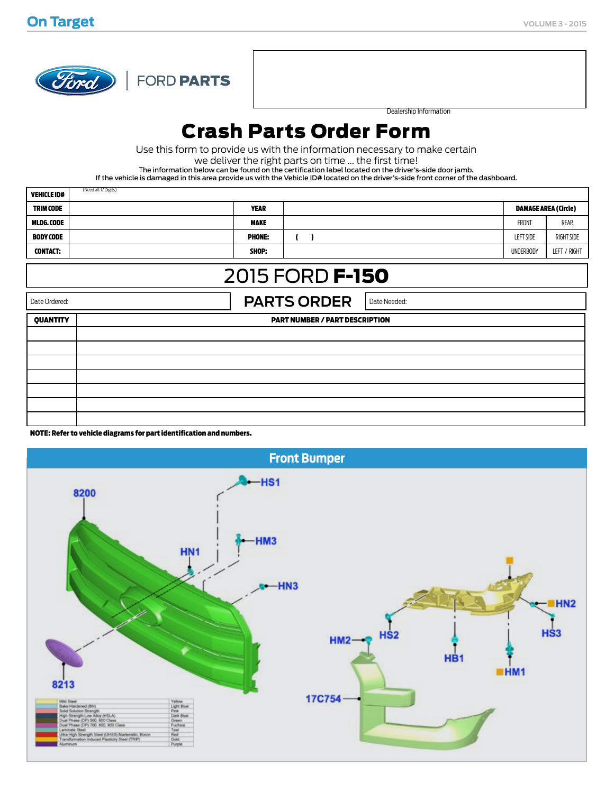

FORD PARTS

Dealership Information

## Crash Parts Order Form

Use this form to provide us with the information necessary to make certain

we deliver the right parts on time ... the first time!

The information below can be found on the certification label located on the driver's-side door jamb.

If the vehicle is damaged in this area provide us with the Vehicle ID# located on the driver's-side front corner of the dashboard.

| <b>VEHICLE ID#</b>                                  | (Need all 17 Digits)                  |                     |                             |                  |              |  |  |
|-----------------------------------------------------|---------------------------------------|---------------------|-----------------------------|------------------|--------------|--|--|
| <b>TRIM CODE</b>                                    | <b>YEAR</b>                           |                     | <b>DAMAGE AREA (Circle)</b> |                  |              |  |  |
| MLDG. CODE                                          | <b>MAKE</b>                           |                     |                             | <b>FRONT</b>     | REAR         |  |  |
| <b>BODY CODE</b>                                    | <b>PHONE:</b>                         | $\mathbf{r}$<br>- 1 |                             | <b>LEFT SIDE</b> | RIGHT SIDE   |  |  |
| <b>CONTACT:</b>                                     | SHOP:                                 |                     |                             | <b>UNDERBODY</b> | LEFT / RIGHT |  |  |
| 2015 FORD <b>F-150</b>                              |                                       |                     |                             |                  |              |  |  |
| <b>PARTS ORDER</b><br>Date Ordered:<br>Date Needed: |                                       |                     |                             |                  |              |  |  |
| <b>QUANTITY</b>                                     | <b>PART NUMBER / PART DESCRIPTION</b> |                     |                             |                  |              |  |  |
|                                                     |                                       |                     |                             |                  |              |  |  |
|                                                     |                                       |                     |                             |                  |              |  |  |
|                                                     |                                       |                     |                             |                  |              |  |  |
|                                                     |                                       |                     |                             |                  |              |  |  |
|                                                     |                                       |                     |                             |                  |              |  |  |
|                                                     |                                       |                     |                             |                  |              |  |  |
|                                                     |                                       |                     |                             |                  |              |  |  |

NOTE: Refer to vehicle diagrams for part identification and numbers.